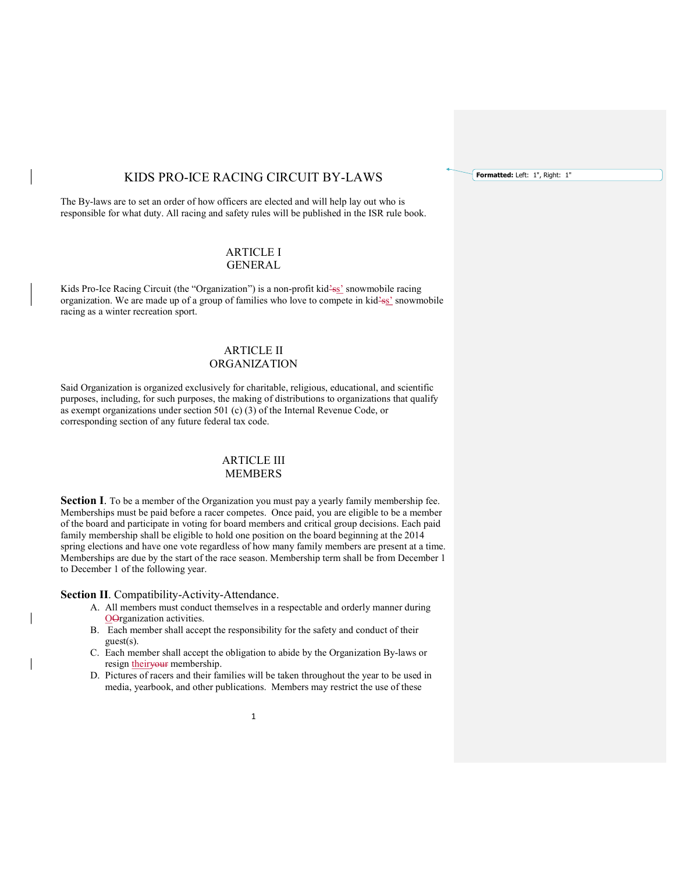# KIDS PRO-ICE RACING CIRCUIT BY-LAWS

The By-laws are to set an order of how officers are elected and will help lay out who is responsible for what duty. All racing and safety rules will be published in the ISR rule book.

# ARTICLE I GENERAL

Kids Pro-Ice Racing Circuit (the "Organization") is a non-profit kid<sup>2</sup>ss' snowmobile racing organization. We are made up of a group of families who love to compete in kid<sup>2</sup>ss' snowmobile racing as a winter recreation sport.

# ARTICLE II ORGANIZATION

Said Organization is organized exclusively for charitable, religious, educational, and scientific purposes, including, for such purposes, the making of distributions to organizations that qualify as exempt organizations under section 501 (c) (3) of the Internal Revenue Code, or corresponding section of any future federal tax code.

# ARTICLE III MEMBERS

Section I. To be a member of the Organization you must pay a yearly family membership fee. Memberships must be paid before a racer competes. Once paid, you are eligible to be a member of the board and participate in voting for board members and critical group decisions. Each paid family membership shall be eligible to hold one position on the board beginning at the 2014 spring elections and have one vote regardless of how many family members are present at a time. Memberships are due by the start of the race season. Membership term shall be from December 1 to December 1 of the following year.

Section II. Compatibility-Activity-Attendance.

- A. All members must conduct themselves in a respectable and orderly manner during OOrganization activities.
- B. Each member shall accept the responsibility for the safety and conduct of their guest(s).
- C. Each member shall accept the obligation to abide by the Organization By-laws or resign theiryour membership.
- D. Pictures of racers and their families will be taken throughout the year to be used in media, yearbook, and other publications. Members may restrict the use of these

Formatted: Left: 1", Right: 1"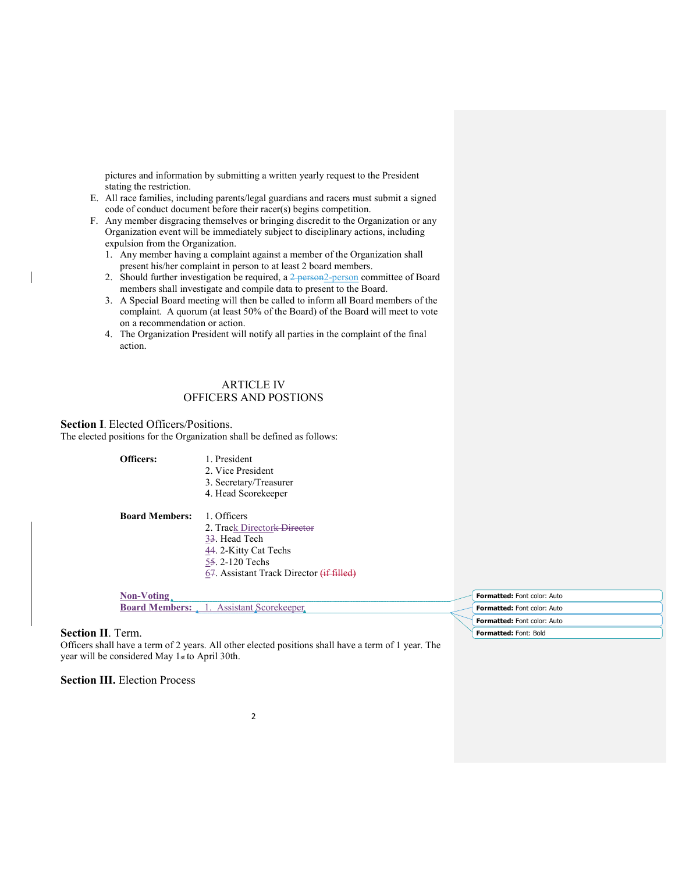pictures and information by submitting a written yearly request to the President stating the restriction.

- E. All race families, including parents/legal guardians and racers must submit a signed code of conduct document before their racer(s) begins competition.
- F. Any member disgracing themselves or bringing discredit to the Organization or any Organization event will be immediately subject to disciplinary actions, including expulsion from the Organization.
	- 1. Any member having a complaint against a member of the Organization shall present his/her complaint in person to at least 2 board members.
	- 2. Should further investigation be required, a  $2$  person $2$ -person committee of Board members shall investigate and compile data to present to the Board.
	- 3. A Special Board meeting will then be called to inform all Board members of the complaint. A quorum (at least 50% of the Board) of the Board will meet to vote on a recommendation or action.
	- 4. The Organization President will notify all parties in the complaint of the final action.

# ARTICLE IV OFFICERS AND POSTIONS

#### Section I. Elected Officers/Positions.

The elected positions for the Organization shall be defined as follows:

Officers: 1. President 2. Vice President 3. Secretary/Treasurer 4. Head Scorekeeper

Board Members: 1. Officers

 2. Track Directork Director 33. Head Tech 44. 2-Kitty Cat Techs 55. 2-120 Techs 67. Assistant Track Director (if filled)

# Non-Voting

Board Members: 1. Assistant Scorekeeper.

#### Section II. Term.

Officers shall have a term of 2 years. All other elected positions shall have a term of 1 year. The year will be considered May 1st to April 30th.

#### **Section III.** Election Process

Formatted: Font color: Auto Formatted: Font color: Auto Formatted: Font color: Auto Formatted: Font: Bold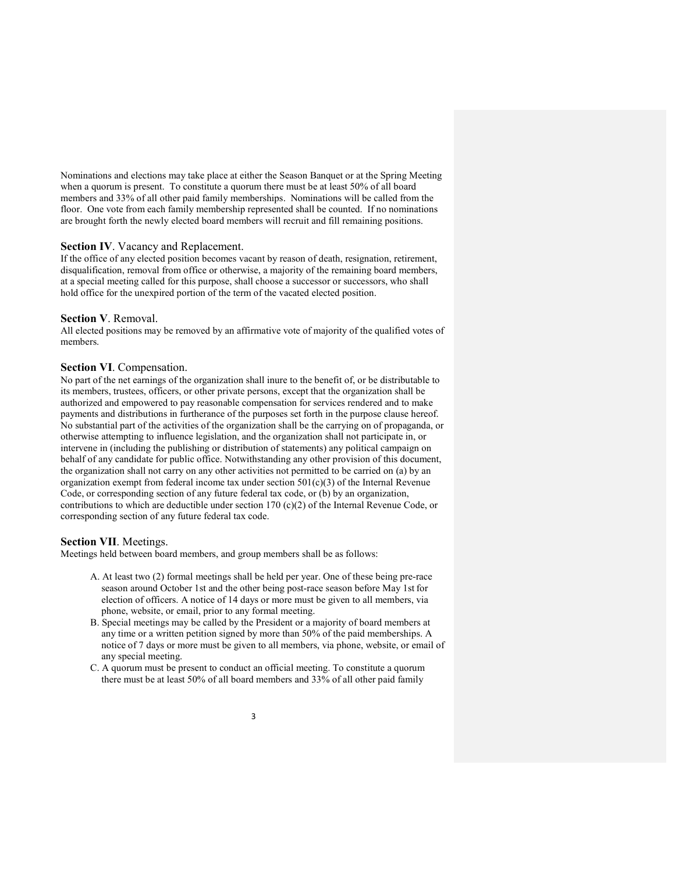Nominations and elections may take place at either the Season Banquet or at the Spring Meeting when a quorum is present. To constitute a quorum there must be at least 50% of all board members and 33% of all other paid family memberships. Nominations will be called from the floor. One vote from each family membership represented shall be counted. If no nominations are brought forth the newly elected board members will recruit and fill remaining positions.

#### Section IV. Vacancy and Replacement.

If the office of any elected position becomes vacant by reason of death, resignation, retirement, disqualification, removal from office or otherwise, a majority of the remaining board members, at a special meeting called for this purpose, shall choose a successor or successors, who shall hold office for the unexpired portion of the term of the vacated elected position.

#### Section V. Removal.

All elected positions may be removed by an affirmative vote of majority of the qualified votes of members.

#### Section VI. Compensation.

No part of the net earnings of the organization shall inure to the benefit of, or be distributable to its members, trustees, officers, or other private persons, except that the organization shall be authorized and empowered to pay reasonable compensation for services rendered and to make payments and distributions in furtherance of the purposes set forth in the purpose clause hereof. No substantial part of the activities of the organization shall be the carrying on of propaganda, or otherwise attempting to influence legislation, and the organization shall not participate in, or intervene in (including the publishing or distribution of statements) any political campaign on behalf of any candidate for public office. Notwithstanding any other provision of this document, the organization shall not carry on any other activities not permitted to be carried on (a) by an organization exempt from federal income tax under section  $501(c)(3)$  of the Internal Revenue Code, or corresponding section of any future federal tax code, or (b) by an organization, contributions to which are deductible under section 170 (c)(2) of the Internal Revenue Code, or corresponding section of any future federal tax code.

#### Section VII. Meetings.

Meetings held between board members, and group members shall be as follows:

- A. At least two (2) formal meetings shall be held per year. One of these being pre-race season around October 1st and the other being post-race season before May 1st for election of officers. A notice of 14 days or more must be given to all members, via phone, website, or email, prior to any formal meeting.
- B. Special meetings may be called by the President or a majority of board members at any time or a written petition signed by more than 50% of the paid memberships. A notice of 7 days or more must be given to all members, via phone, website, or email of any special meeting.
- C. A quorum must be present to conduct an official meeting. To constitute a quorum there must be at least 50% of all board members and 33% of all other paid family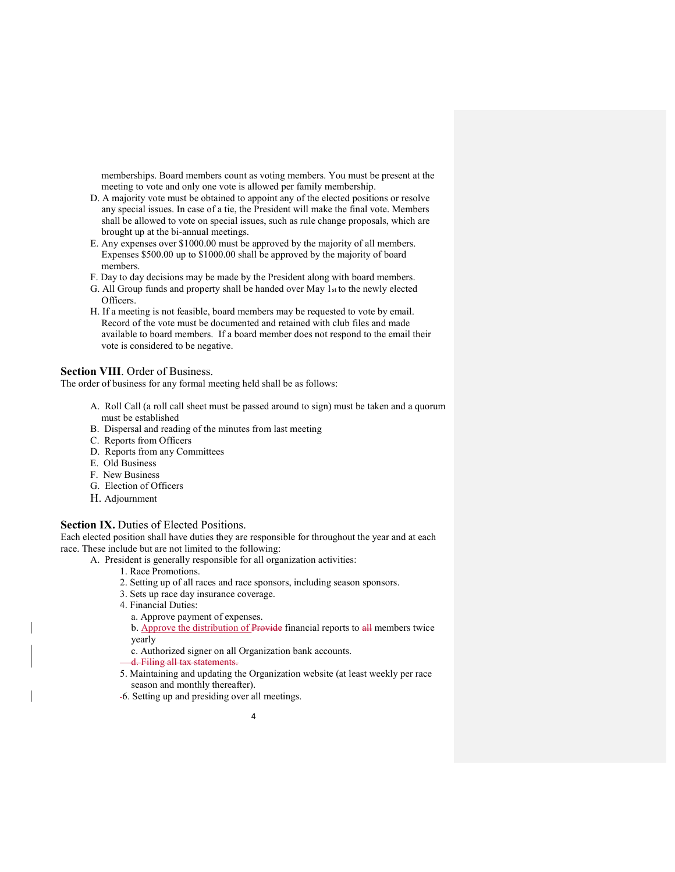memberships. Board members count as voting members. You must be present at the meeting to vote and only one vote is allowed per family membership.

- D. A majority vote must be obtained to appoint any of the elected positions or resolve any special issues. In case of a tie, the President will make the final vote. Members shall be allowed to vote on special issues, such as rule change proposals, which are brought up at the bi-annual meetings.
- E. Any expenses over \$1000.00 must be approved by the majority of all members. Expenses \$500.00 up to \$1000.00 shall be approved by the majority of board members.
- F. Day to day decisions may be made by the President along with board members.
- G. All Group funds and property shall be handed over May 1st to the newly elected Officers.
- H. If a meeting is not feasible, board members may be requested to vote by email. Record of the vote must be documented and retained with club files and made available to board members. If a board member does not respond to the email their vote is considered to be negative.

#### Section VIII. Order of Business.

The order of business for any formal meeting held shall be as follows:

- A. Roll Call (a roll call sheet must be passed around to sign) must be taken and a quorum must be established
- B. Dispersal and reading of the minutes from last meeting
- C. Reports from Officers
- D. Reports from any Committees
- E. Old Business
- F. New Business
- G. Election of Officers
- H. Adjournment

#### Section IX. Duties of Elected Positions.

Each elected position shall have duties they are responsible for throughout the year and at each race. These include but are not limited to the following:

- A. President is generally responsible for all organization activities:
	- 1. Race Promotions.
	- 2. Setting up of all races and race sponsors, including season sponsors.
	- 3. Sets up race day insurance coverage.
	- 4. Financial Duties:
	- a. Approve payment of expenses.

b. Approve the distribution of Provide financial reports to all members twice yearly

c. Authorized signer on all Organization bank accounts.

- d. Filing all tax statements.
- 5. Maintaining and updating the Organization website (at least weekly per race season and monthly thereafter).
- 6. Setting up and presiding over all meetings.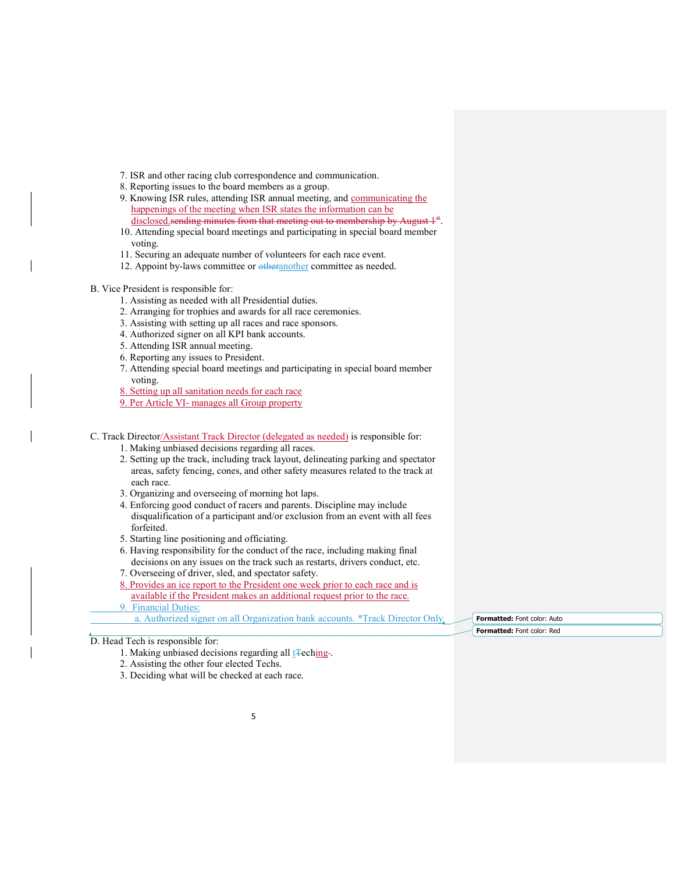- 7. ISR and other racing club correspondence and communication.
- 8. Reporting issues to the board members as a group.
- 9. Knowing ISR rules, attending ISR annual meeting, and communicating the happenings of the meeting when ISR states the information can be
- disclosed sending minutes from that meeting out to membership by August 1<sup>st</sup>. 10. Attending special board meetings and participating in special board member voting.
- 11. Securing an adequate number of volunteers for each race event.
- 12. Appoint by-laws committee or otheranother committee as needed.
- B. Vice President is responsible for:
	- 1. Assisting as needed with all Presidential duties.
	- 2. Arranging for trophies and awards for all race ceremonies.
	- 3. Assisting with setting up all races and race sponsors.
	- 4. Authorized signer on all KPI bank accounts.
	- 5. Attending ISR annual meeting.
	- 6. Reporting any issues to President.
	- 7. Attending special board meetings and participating in special board member voting.
	- 8. Setting up all sanitation needs for each race
	- 9. Per Article VI- manages all Group property
- C. Track Director/Assistant Track Director (delegated as needed) is responsible for:
	- 1. Making unbiased decisions regarding all races.
	- 2. Setting up the track, including track layout, delineating parking and spectator areas, safety fencing, cones, and other safety measures related to the track at each race.
	- 3. Organizing and overseeing of morning hot laps.
	- 4. Enforcing good conduct of racers and parents. Discipline may include disqualification of a participant and/or exclusion from an event with all fees forfeited.
	- 5. Starting line positioning and officiating.
	- 6. Having responsibility for the conduct of the race, including making final decisions on any issues on the track such as restarts, drivers conduct, etc.
	- 7. Overseeing of driver, sled, and spectator safety.
	- 8. Provides an ice report to the President one week prior to each race and is available if the President makes an additional request prior to the race.
	- 9. Financial Duties:
		- a. Authorized signer on all Organization bank accounts. \*Track Director Only

- 1. Making unbiased decisions regarding all t<sub>Teching</sub>.
- 2. Assisting the other four elected Techs.
- 3. Deciding what will be checked at each race.

Formatted: Font color: Auto Formatted: Font color: Red

D. Head Tech is responsible for: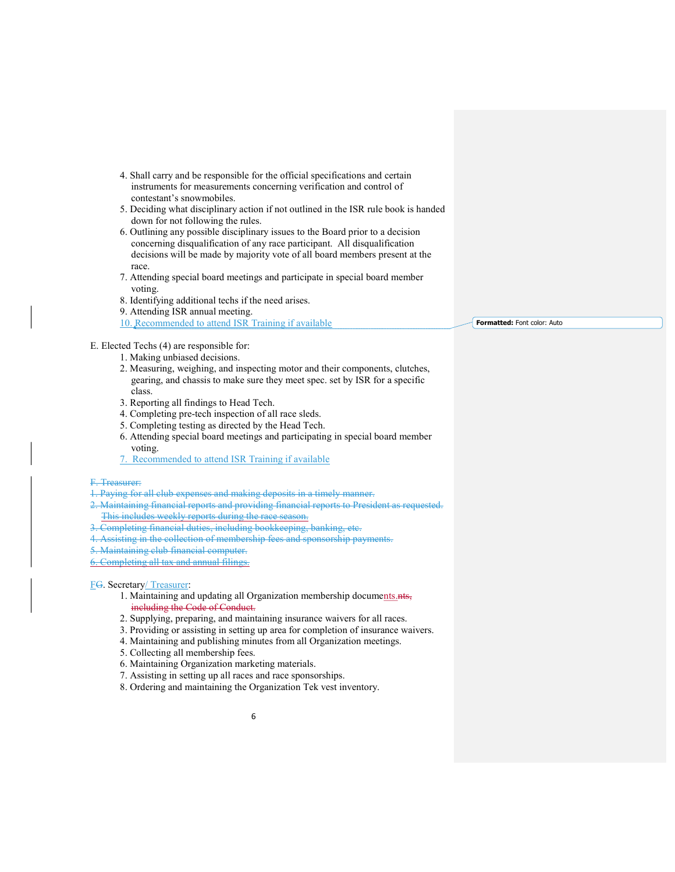- 4. Shall carry and be responsible for the official specifications and certain instruments for measurements concerning verification and control of contestant's snowmobiles.
- 5. Deciding what disciplinary action if not outlined in the ISR rule book is handed down for not following the rules.
- 6. Outlining any possible disciplinary issues to the Board prior to a decision concerning disqualification of any race participant. All disqualification decisions will be made by majority vote of all board members present at the race.
- 7. Attending special board meetings and participate in special board member voting.
- 8. Identifying additional techs if the need arises.
- 9. Attending ISR annual meeting.

10. Recommended to attend ISR Training if available

Formatted: Font color: Auto

## E. Elected Techs (4) are responsible for:

- 1. Making unbiased decisions.
- 2. Measuring, weighing, and inspecting motor and their components, clutches, gearing, and chassis to make sure they meet spec. set by ISR for a specific class.
- 3. Reporting all findings to Head Tech.
- 4. Completing pre-tech inspection of all race sleds.
- 5. Completing testing as directed by the Head Tech.
- 6. Attending special board meetings and participating in special board member voting.
- 7. Recommended to attend ISR Training if available

#### F. Treasurer:

- 1. Paying for all club expenses and making deposits in a timely manner.
- 2. Maintaining financial reports and providing financial reports to President as requested. This includes weekly reports during the race season.
- 3. Completing financial duties, including bookkeeping, banking, etc.
- 4. Assisting in the collection of membership fees and sponsorship payments.
- 
- 5. Maintaining club financial computer.
- 6. Completing all tax and annual filings.

#### FG. Secretary/ Treasurer:

- 1. Maintaining and updating all Organization membership documents.nts, including the Code of Conduct.
- 2. Supplying, preparing, and maintaining insurance waivers for all races.
- 3. Providing or assisting in setting up area for completion of insurance waivers.
- 4. Maintaining and publishing minutes from all Organization meetings.
- 5. Collecting all membership fees.
- 6. Maintaining Organization marketing materials.
- 7. Assisting in setting up all races and race sponsorships.
- 8. Ordering and maintaining the Organization Tek vest inventory.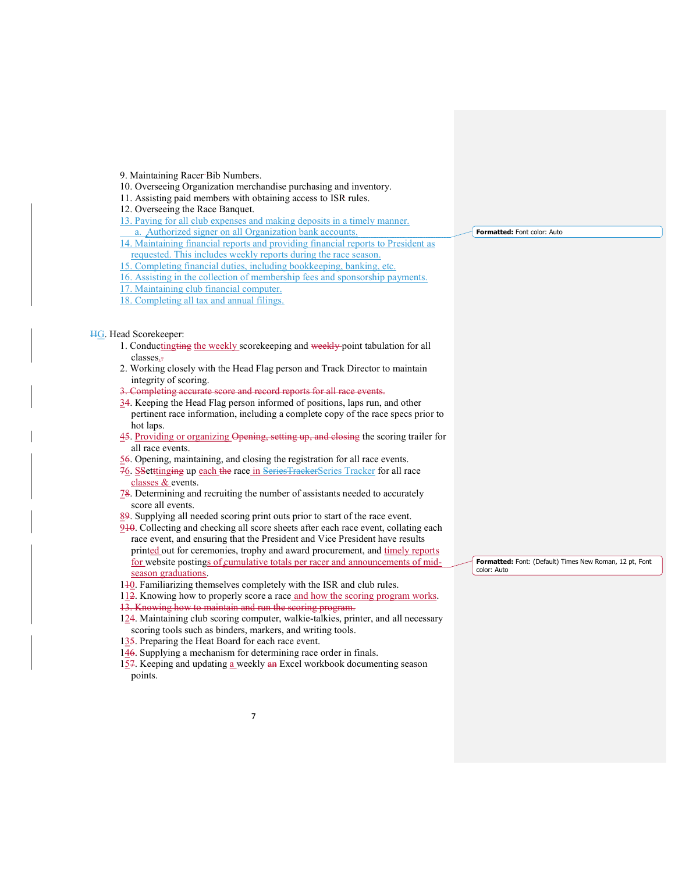9. Maintaining Racer Bib Numbers.

- 10. Overseeing Organization merchandise purchasing and inventory.
- 11. Assisting paid members with obtaining access to ISR rules.
- 12. Overseeing the Race Banquet.
- 13. Paying for all club expenses and making deposits in a timely manner. Authorized signer on all Organization bank accounts.

- 14. Maintaining financial reports and providing financial reports to President as requested. This includes weekly reports during the race season.
- 15. Completing financial duties, including bookkeeping, banking, etc.
- 16. Assisting in the collection of membership fees and sponsorship payments.
- 17. Maintaining club financial computer.
- 18. Completing all tax and annual filings.

#### HG. Head Scorekeeper:

- 1. Conductingting the weekly scorekeeping and weekly point tabulation for all classes..
- 2. Working closely with the Head Flag person and Track Director to maintain integrity of scoring.
- 3. Completing accurate score and record reports for all race events.
- 34. Keeping the Head Flag person informed of positions, laps run, and other pertinent race information, including a complete copy of the race specs prior to hot laps.
- 45. Providing or organizing Opening, setting up, and closing the scoring trailer for all race events.
- 56. Opening, maintaining, and closing the registration for all race events.
- 76. SSetttinging up each the race in SeriesTrackerSeries Tracker for all race classes & events.
- 78. Determining and recruiting the number of assistants needed to accurately score all events.
- 89. Supplying all needed scoring print outs prior to start of the race event.
- 910. Collecting and checking all score sheets after each race event, collating each race event, and ensuring that the President and Vice President have results printed out for ceremonies, trophy and award procurement, and timely reports for website postings of cumulative totals per racer and announcements of midseason graduations.
- 110. Familiarizing themselves completely with the ISR and club rules.

112. Knowing how to properly score a race and how the scoring program works.

- 13. Knowing how to maintain and run the scoring program.
- 124. Maintaining club scoring computer, walkie-talkies, printer, and all necessary scoring tools such as binders, markers, and writing tools.
- 135. Preparing the Heat Board for each race event.
- 146. Supplying a mechanism for determining race order in finals.
- 157. Keeping and updating a weekly an Excel workbook documenting season points.

Formatted: Font color: Auto

Formatted: Font: (Default) Times New Roman, 12 pt, Font color: Auto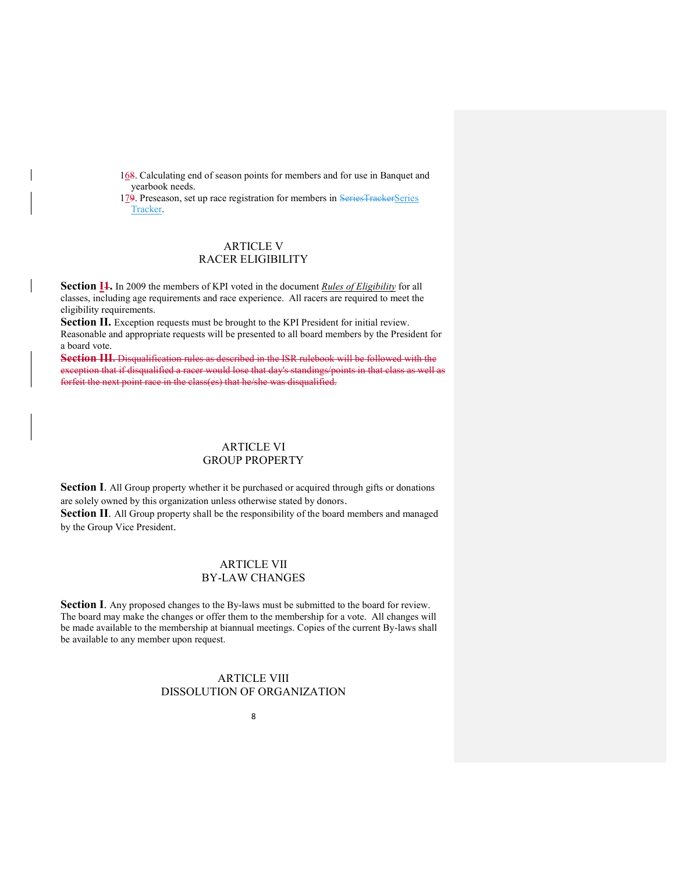168. Calculating end of season points for members and for use in Banquet and yearbook needs.

179. Preseason, set up race registration for members in SeriesTrackerSeries Tracker.

# ARTICLE V RACER ELIGIBILITY

Section I<sub>1</sub>. In 2009 the members of KPI voted in the document Rules of Eligibility for all classes, including age requirements and race experience. All racers are required to meet the eligibility requirements.

Section II. Exception requests must be brought to the KPI President for initial review. Reasonable and appropriate requests will be presented to all board members by the President for a board vote.

Section III. Disqualification rules as described in the ISR rulebook will be followed with the exception that if disqualified a racer would lose that day's standings/points in that class as well as forfeit the next point race in the class(es) that he/she was disqualified.

# ARTICLE VI GROUP PROPERTY

Section I. All Group property whether it be purchased or acquired through gifts or donations are solely owned by this organization unless otherwise stated by donors.

Section II. All Group property shall be the responsibility of the board members and managed by the Group Vice President.

# ARTICLE VII BY-LAW CHANGES

Section I. Any proposed changes to the By-laws must be submitted to the board for review. The board may make the changes or offer them to the membership for a vote. All changes will be made available to the membership at biannual meetings. Copies of the current By-laws shall be available to any member upon request.

# ARTICLE VIII DISSOLUTION OF ORGANIZATION